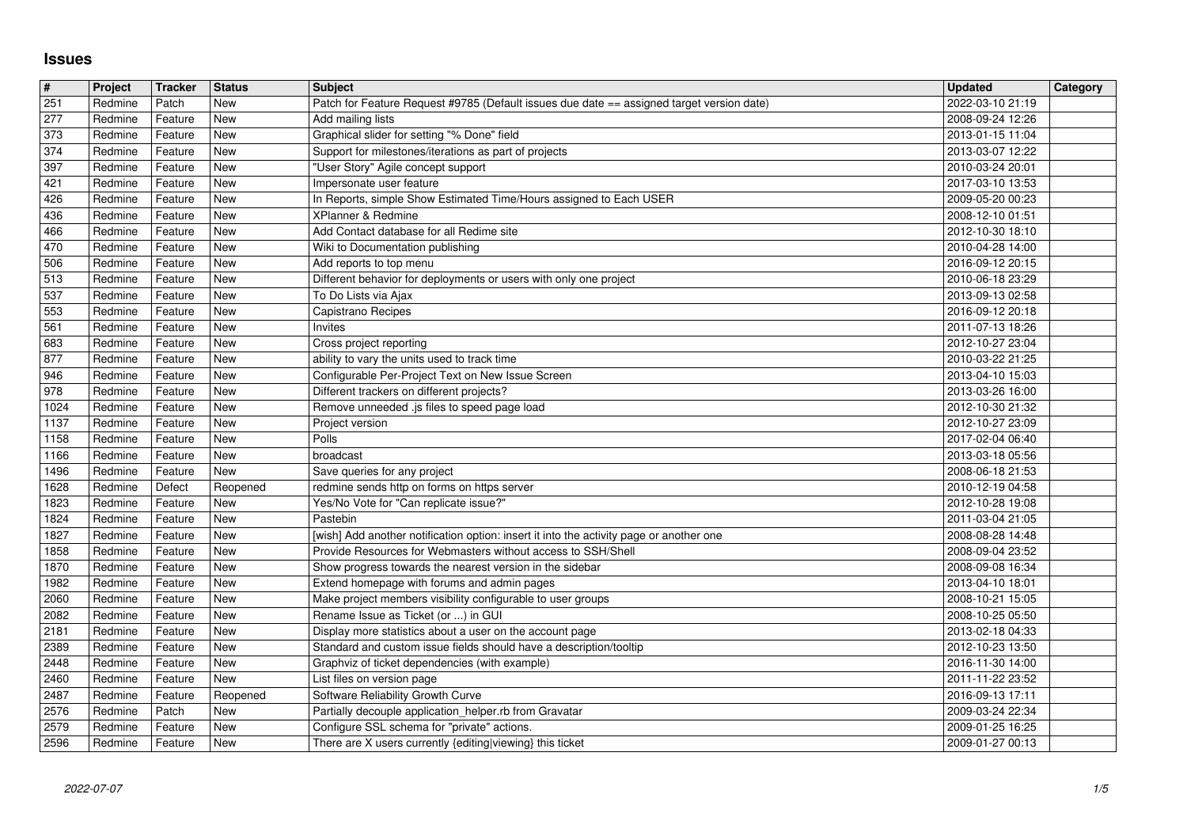## **Issues**

| #                     | Project            | Tracker            | <b>Status</b>            | <b>Subject</b>                                                                                           | <b>Updated</b>                       | <b>Category</b> |
|-----------------------|--------------------|--------------------|--------------------------|----------------------------------------------------------------------------------------------------------|--------------------------------------|-----------------|
| $\overline{251}$      | Redmine            | Patch              | <b>New</b>               | Patch for Feature Request #9785 (Default issues due date == assigned target version date)                | 2022-03-10 21:19                     |                 |
| $\sqrt{277}$<br>373   | Redmine<br>Redmine | Feature<br>Feature | <b>New</b><br><b>New</b> | Add mailing lists<br>Graphical slider for setting "% Done" field                                         | 2008-09-24 12:26<br>2013-01-15 11:04 |                 |
| 374                   | Redmine            | Feature            | <b>New</b>               | Support for milestones/iterations as part of projects                                                    | 2013-03-07 12:22                     |                 |
| 397                   | Redmine            | Feature            | New                      | "User Story" Agile concept support                                                                       | 2010-03-24 20:01                     |                 |
| 421                   | Redmine            | Feature            | New                      | Impersonate user feature                                                                                 | 2017-03-10 13:53                     |                 |
| 426                   | Redmine            | Feature            | <b>New</b>               | In Reports, simple Show Estimated Time/Hours assigned to Each USER                                       | 2009-05-20 00:23                     |                 |
| 436<br>466            | Redmine<br>Redmine | Feature<br>Feature | New<br>New               | XPlanner & Redmine<br>Add Contact database for all Redime site                                           | 2008-12-10 01:51<br>2012-10-30 18:10 |                 |
| 470                   | Redmine            | Feature            | <b>New</b>               | Wiki to Documentation publishing                                                                         | 2010-04-28 14:00                     |                 |
| 506                   | Redmine            | Feature            | <b>New</b>               | Add reports to top menu                                                                                  | 2016-09-12 20:15                     |                 |
| 513                   | Redmine            | Feature            | <b>New</b>               | Different behavior for deployments or users with only one project                                        | 2010-06-18 23:29                     |                 |
| 537                   | Redmine            | Feature            | <b>New</b>               | To Do Lists via Ajax                                                                                     | 2013-09-13 02:58                     |                 |
| 553<br>561            | Redmine<br>Redmine | Feature<br>Feature | New<br>New               | Capistrano Recipes<br>Invites                                                                            | 2016-09-12 20:18<br>2011-07-13 18:26 |                 |
| 683                   | Redmine            | Feature            | New                      | Cross project reporting                                                                                  | 2012-10-27 23:04                     |                 |
| 877                   | Redmine            | Feature            | <b>New</b>               | ability to vary the units used to track time                                                             | 2010-03-22 21:25                     |                 |
| 946                   | Redmine            | Feature            | New                      | Configurable Per-Project Text on New Issue Screen                                                        | 2013-04-10 15:03                     |                 |
| 978<br>1024           | Redmine<br>Redmine | Feature<br>Feature | <b>New</b><br><b>New</b> | Different trackers on different projects?<br>Remove unneeded .js files to speed page load                | 2013-03-26 16:00<br>2012-10-30 21:32 |                 |
| 1137                  | Redmine            | Feature            | <b>New</b>               | Project version                                                                                          | 2012-10-27 23:09                     |                 |
| 1158                  | Redmine            | Feature            | <b>New</b>               | Polls                                                                                                    | 2017-02-04 06:40                     |                 |
| 1166                  | Redmine            | Feature            | New                      | broadcast                                                                                                | 2013-03-18 05:56                     |                 |
| 1496                  | Redmine            | Feature            | <b>New</b>               | Save queries for any project                                                                             | 2008-06-18 21:53                     |                 |
| 1628<br>1823          | Redmine<br>Redmine | Defect<br>Feature  | Reopened<br>New          | redmine sends http on forms on https server<br>Yes/No Vote for "Can replicate issue?"                    | 2010-12-19 04:58<br>2012-10-28 19:08 |                 |
| 1824                  | Redmine            | Feature            | New                      | Pastebin                                                                                                 | 2011-03-04 21:05                     |                 |
| 1827                  | Redmine            | Feature            | <b>New</b>               | [wish] Add another notification option: insert it into the activity page or another one                  | 2008-08-28 14:48                     |                 |
| 1858                  | Redmine            | Feature            | <b>New</b>               | Provide Resources for Webmasters without access to SSH/Shell                                             | 2008-09-04 23:52                     |                 |
| 1870<br>1982          | Redmine<br>Redmine | Feature<br>Feature | <b>New</b><br><b>New</b> | Show progress towards the nearest version in the sidebar<br>Extend homepage with forums and admin pages  | 2008-09-08 16:34<br>2013-04-10 18:01 |                 |
| 2060                  | Redmine            | Feature            | <b>New</b>               | Make project members visibility configurable to user groups                                              | 2008-10-21 15:05                     |                 |
| 2082                  | Redmine            | Feature            | <b>New</b>               | Rename Issue as Ticket (or ) in GUI                                                                      | 2008-10-25 05:50                     |                 |
| 2181                  | Redmine            | Feature            | New                      | Display more statistics about a user on the account page                                                 | 2013-02-18 04:33                     |                 |
| 2389                  | Redmine            | Feature            | New                      | Standard and custom issue fields should have a description/tooltip                                       | 2012-10-23 13:50                     |                 |
| 2448<br>$\sqrt{2460}$ | Redmine<br>Redmine | Feature<br>Feature | New<br>New               | Graphviz of ticket dependencies (with example)<br>List files on version page                             | 2016-11-30 14:00<br>2011-11-22 23:52 |                 |
| 2487                  | Redmine            | Feature            | Reopened                 | Software Reliability Growth Curve                                                                        | 2016-09-13 17:11                     |                 |
| $\boxed{2576}$        | Redmine            | Patch              | New                      | Partially decouple application_helper.rb from Gravatar                                                   | 2009-03-24 22:34                     |                 |
| 2579<br>2596          | Redmine<br>Redmine | Feature<br>Feature | <b>New</b><br>New        | Configure SSL schema for "private" actions.<br>There are X users currently {editing viewing} this ticket | 2009-01-25 16:25<br>2009-01-27 00:13 |                 |
|                       |                    |                    |                          |                                                                                                          |                                      |                 |
|                       |                    |                    |                          |                                                                                                          |                                      |                 |
|                       |                    |                    |                          |                                                                                                          |                                      |                 |
|                       |                    |                    |                          |                                                                                                          |                                      |                 |
|                       |                    |                    |                          |                                                                                                          |                                      |                 |
|                       |                    |                    |                          |                                                                                                          |                                      |                 |
|                       |                    |                    |                          |                                                                                                          |                                      |                 |
|                       |                    |                    |                          |                                                                                                          |                                      |                 |
|                       |                    |                    |                          |                                                                                                          |                                      |                 |
|                       |                    |                    |                          |                                                                                                          |                                      |                 |
|                       |                    |                    |                          |                                                                                                          |                                      |                 |
|                       |                    |                    |                          |                                                                                                          |                                      |                 |
|                       |                    |                    |                          |                                                                                                          |                                      |                 |
|                       |                    |                    |                          |                                                                                                          |                                      |                 |
|                       |                    |                    |                          |                                                                                                          |                                      |                 |
|                       |                    |                    |                          |                                                                                                          |                                      |                 |
|                       |                    |                    |                          |                                                                                                          |                                      |                 |
|                       |                    |                    |                          |                                                                                                          |                                      |                 |
|                       |                    |                    |                          |                                                                                                          |                                      |                 |
|                       |                    |                    |                          |                                                                                                          |                                      |                 |
|                       |                    |                    |                          |                                                                                                          |                                      |                 |
|                       |                    |                    |                          |                                                                                                          |                                      |                 |
|                       |                    |                    |                          |                                                                                                          |                                      |                 |
|                       |                    |                    |                          |                                                                                                          |                                      |                 |
|                       |                    |                    |                          |                                                                                                          |                                      |                 |
|                       |                    |                    |                          |                                                                                                          |                                      |                 |
|                       |                    |                    |                          |                                                                                                          |                                      |                 |
|                       |                    |                    |                          |                                                                                                          |                                      |                 |
|                       |                    |                    |                          |                                                                                                          |                                      |                 |
|                       |                    |                    |                          |                                                                                                          |                                      |                 |
|                       |                    |                    |                          |                                                                                                          |                                      |                 |
|                       |                    |                    |                          |                                                                                                          |                                      |                 |
|                       |                    |                    |                          |                                                                                                          |                                      |                 |
|                       |                    |                    |                          |                                                                                                          |                                      |                 |
|                       |                    |                    |                          |                                                                                                          |                                      |                 |
|                       |                    |                    |                          |                                                                                                          |                                      |                 |
|                       |                    |                    |                          |                                                                                                          |                                      |                 |
|                       |                    |                    |                          |                                                                                                          |                                      |                 |
|                       |                    |                    |                          |                                                                                                          |                                      |                 |
|                       |                    |                    |                          |                                                                                                          |                                      |                 |
|                       |                    |                    |                          |                                                                                                          |                                      |                 |
|                       |                    |                    |                          |                                                                                                          |                                      |                 |
|                       |                    |                    |                          |                                                                                                          |                                      |                 |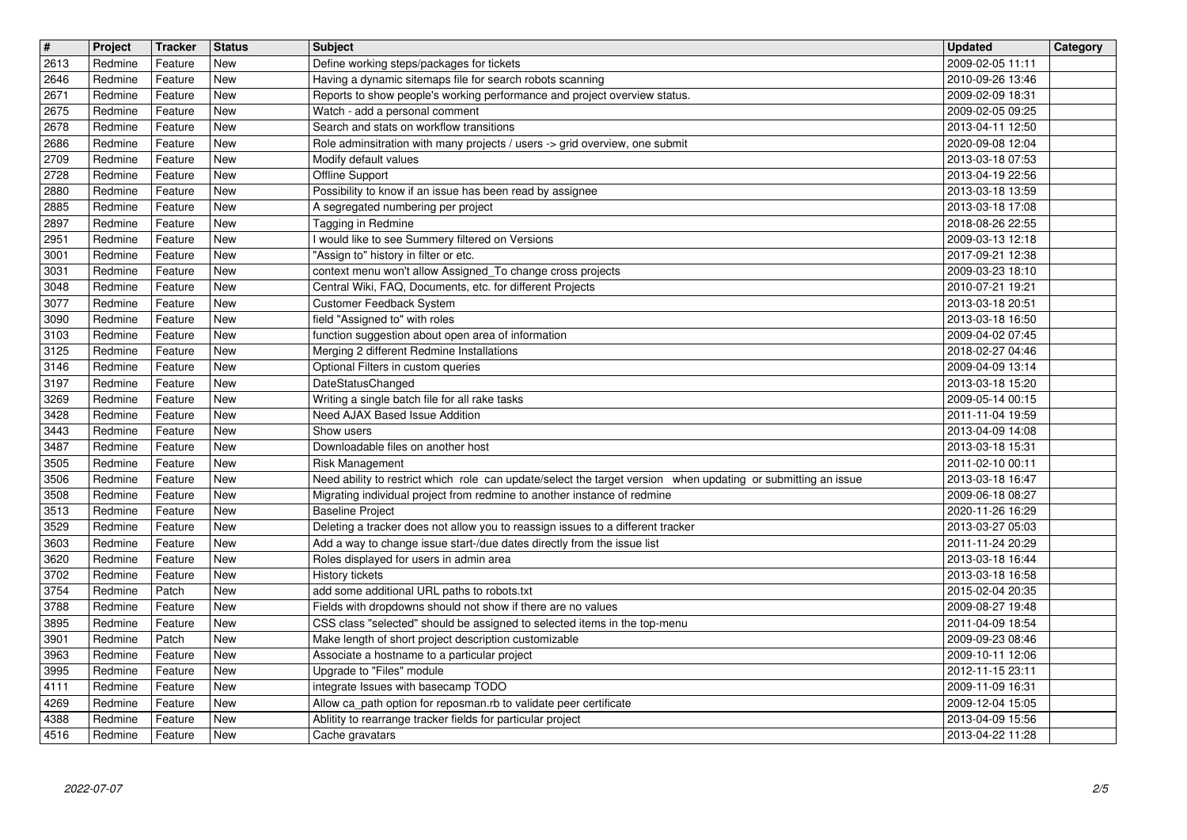| $\overline{\mathbf{H}}$ | Project            | Tracker            | <b>Status</b>            | <b>Subject</b>                                                                                                                                                                            | <b>Updated</b>                       | Category |
|-------------------------|--------------------|--------------------|--------------------------|-------------------------------------------------------------------------------------------------------------------------------------------------------------------------------------------|--------------------------------------|----------|
| 2613<br>2646            | Redmine<br>Redmine | Feature<br>Feature | New<br><b>New</b>        | Define working steps/packages for tickets<br>Having a dynamic sitemaps file for search robots scanning                                                                                    | 2009-02-05 11:11<br>2010-09-26 13:46 |          |
| 2671                    | Redmine            | Feature            | <b>New</b>               | Reports to show people's working performance and project overview status.                                                                                                                 | 2009-02-09 18:31                     |          |
| 2675<br>2678            | Redmine<br>Redmine | Feature<br>Feature | <b>New</b><br><b>New</b> | Watch - add a personal comment<br>Search and stats on workflow transitions                                                                                                                | 2009-02-05 09:25<br>2013-04-11 12:50 |          |
| 2686                    | Redmine            | Feature            | <b>New</b>               | Role adminsitration with many projects / users -> grid overview, one submit                                                                                                               | 2020-09-08 12:04                     |          |
| 2709<br>2728            | Redmine<br>Redmine | Feature<br>Feature | <b>New</b><br><b>New</b> | Modify default values<br>Offline Support                                                                                                                                                  | 2013-03-18 07:53<br>2013-04-19 22:56 |          |
| 2880                    | Redmine            | Feature            | New                      | Possibility to know if an issue has been read by assignee                                                                                                                                 | 2013-03-18 13:59                     |          |
| 2885<br>2897            | Redmine<br>Redmine | Feature<br>Feature | <b>New</b><br><b>New</b> | A segregated numbering per project<br>Tagging in Redmine                                                                                                                                  | 2013-03-18 17:08<br>2018-08-26 22:55 |          |
| 2951                    | Redmine            | Feature            | <b>New</b>               | I would like to see Summery filtered on Versions                                                                                                                                          | 2009-03-13 12:18                     |          |
| 3001<br>3031            | Redmine<br>Redmine | Feature<br>Feature | <b>New</b><br>New        | "Assign to" history in filter or etc.<br>context menu won't allow Assigned_To change cross projects                                                                                       | 2017-09-21 12:38<br>2009-03-23 18:10 |          |
| 3048<br>3077            | Redmine<br>Redmine | Feature<br>Feature | <b>New</b><br><b>New</b> | Central Wiki, FAQ, Documents, etc. for different Projects<br>Customer Feedback System                                                                                                     | 2010-07-21 19:21<br>2013-03-18 20:51 |          |
| 3090                    | Redmine            | Feature            | New                      | field "Assigned to" with roles                                                                                                                                                            | 2013-03-18 16:50                     |          |
| 3103<br>3125            | Redmine<br>Redmine | Feature<br>Feature | New<br><b>New</b>        | function suggestion about open area of information<br>Merging 2 different Redmine Installations                                                                                           | 2009-04-02 07:45<br>2018-02-27 04:46 |          |
| 3146                    | Redmine            | Feature            | <b>New</b>               | Optional Filters in custom queries                                                                                                                                                        | 2009-04-09 13:14                     |          |
| 3197<br>3269            | Redmine<br>Redmine | Feature<br>Feature | <b>New</b><br><b>New</b> | DateStatusChanged<br>Writing a single batch file for all rake tasks                                                                                                                       | 2013-03-18 15:20<br>2009-05-14 00:15 |          |
| 3428                    | Redmine            | Feature            | <b>New</b>               | Need AJAX Based Issue Addition                                                                                                                                                            | 2011-11-04 19:59                     |          |
| 3443<br>3487            | Redmine<br>Redmine | Feature<br>Feature | <b>New</b><br><b>New</b> | Show users<br>Downloadable files on another host                                                                                                                                          | 2013-04-09 14:08<br>2013-03-18 15:31 |          |
| 3505                    | Redmine            | Feature            | <b>New</b>               | Risk Management                                                                                                                                                                           | 2011-02-10 00:11                     |          |
| 3506<br>3508            | Redmine<br>Redmine | Feature<br>Feature | New<br><b>New</b>        | Need ability to restrict which role can update/select the target version when updating or submitting an issue<br>Migrating individual project from redmine to another instance of redmine | 2013-03-18 16:47<br>2009-06-18 08:27 |          |
| 3513                    | Redmine            | Feature            | <b>New</b>               | <b>Baseline Project</b>                                                                                                                                                                   | 2020-11-26 16:29                     |          |
| 3529<br>3603            | Redmine<br>Redmine | Feature<br>Feature | <b>New</b><br><b>New</b> | Deleting a tracker does not allow you to reassign issues to a different tracker<br>Add a way to change issue start-/due dates directly from the issue list                                | 2013-03-27 05:03<br>2011-11-24 20:29 |          |
| 3620                    | Redmine            | Feature            | <b>New</b>               | Roles displayed for users in admin area                                                                                                                                                   | 2013-03-18 16:44                     |          |
| 3702<br>3754            | Redmine<br>Redmine | Feature<br>Patch   | <b>New</b><br><b>New</b> | History tickets<br>add some additional URL paths to robots.txt                                                                                                                            | 2013-03-18 16:58<br>2015-02-04 20:35 |          |
| 3788                    | Redmine            | Feature            | <b>New</b>               | Fields with dropdowns should not show if there are no values                                                                                                                              | 2009-08-27 19:48                     |          |
| 3895<br>3901            | Redmine<br>Redmine | Feature<br>Patch   | New<br>New               | CSS class "selected" should be assigned to selected items in the top-menu<br>Make length of short project description customizable                                                        | 2011-04-09 18:54<br>2009-09-23 08:46 |          |
| 3963                    | Redmine            | Feature            | New                      | Associate a hostname to a particular project                                                                                                                                              | 2009-10-11 12:06                     |          |
| 3995<br>4111            | Redmine<br>Redmine | Feature<br>Feature | New<br>New               | Upgrade to "Files" module<br>integrate Issues with basecamp TODO                                                                                                                          | 2012-11-15 23:11<br>2009-11-09 16:31 |          |
| 4269                    | Redmine            | Feature            | New                      | Allow ca_path option for reposman.rb to validate peer certificate                                                                                                                         | 2009-12-04 15:05                     |          |
| 4388<br>4516            | Redmine<br>Redmine | Feature<br>Feature | New<br>New               | Ablitity to rearrange tracker fields for particular project<br>Cache gravatars                                                                                                            | 2013-04-09 15:56<br>2013-04-22 11:28 |          |
|                         |                    |                    |                          |                                                                                                                                                                                           |                                      |          |
|                         |                    |                    |                          |                                                                                                                                                                                           |                                      |          |
|                         |                    |                    |                          |                                                                                                                                                                                           |                                      |          |
|                         |                    |                    |                          |                                                                                                                                                                                           |                                      |          |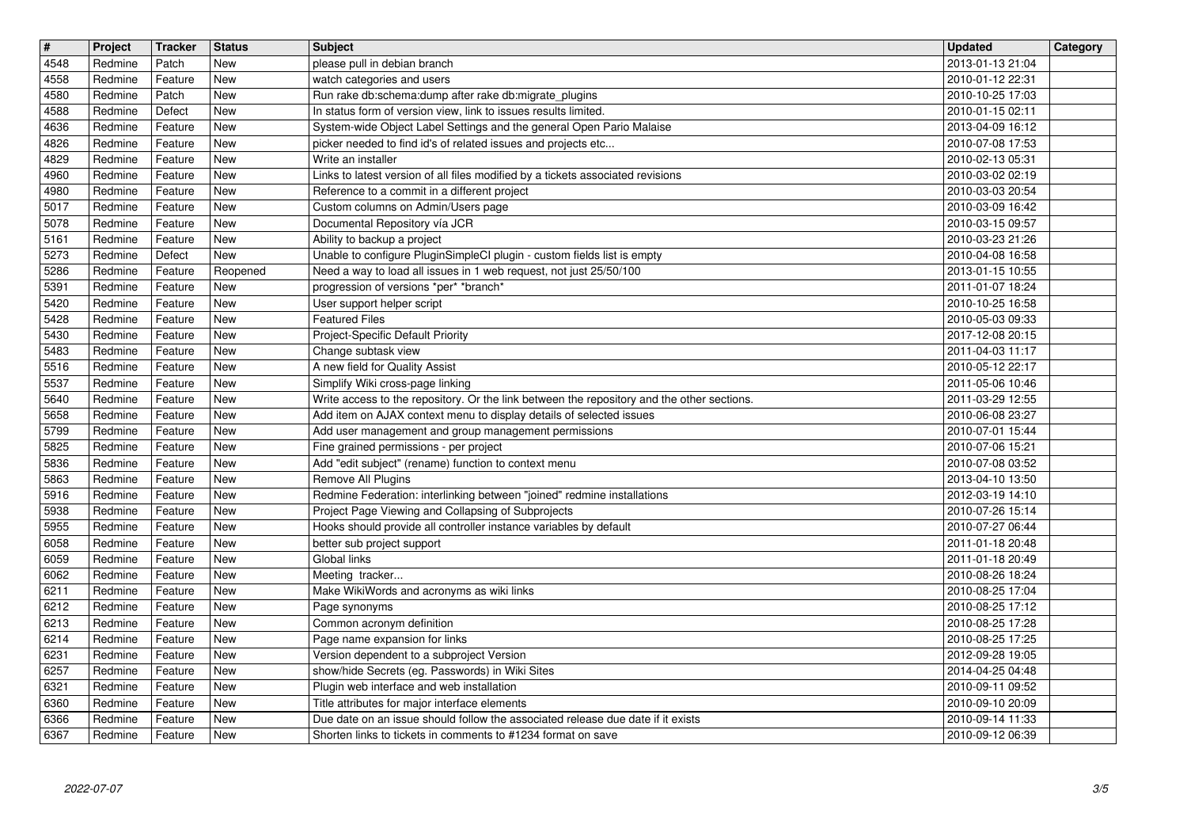| $\overline{\mathbf{t}}$ | Project            | Tracker            | Status                   | <b>Subject</b>                                                                                                                                  | <b>Updated</b>                       | Category |
|-------------------------|--------------------|--------------------|--------------------------|-------------------------------------------------------------------------------------------------------------------------------------------------|--------------------------------------|----------|
| 4548<br>4558            | Redmine<br>Redmine | Patch<br>Feature   | <b>New</b><br><b>New</b> | please pull in debian branch<br>watch categories and users                                                                                      | 2013-01-13 21:04<br>2010-01-12 22:31 |          |
| 4580                    | Redmine            | Patch              | <b>New</b>               | Run rake db:schema:dump after rake db:migrate_plugins                                                                                           | 2010-10-25 17:03                     |          |
| 4588                    | Redmine            | Defect             | <b>New</b>               | In status form of version view, link to issues results limited.                                                                                 | 2010-01-15 02:11                     |          |
| 4636                    | Redmine            | Feature            | <b>New</b>               | System-wide Object Label Settings and the general Open Pario Malaise                                                                            | 2013-04-09 16:12                     |          |
| 4826                    | Redmine            | Feature            | <b>New</b>               | picker needed to find id's of related issues and projects etc                                                                                   | 2010-07-08 17:53                     |          |
| 4829<br>4960            | Redmine<br>Redmine | Feature<br>Feature | <b>New</b><br>New        | Write an installer<br>Links to latest version of all files modified by a tickets associated revisions                                           | 2010-02-13 05:31<br>2010-03-02 02:19 |          |
| 4980                    | Redmine            | Feature            | <b>New</b>               | Reference to a commit in a different project                                                                                                    | 2010-03-03 20:54                     |          |
| 5017                    | Redmine            | Feature            | <b>New</b>               | Custom columns on Admin/Users page                                                                                                              | 2010-03-09 16:42                     |          |
| 5078<br>5161            | Redmine<br>Redmine | Feature<br>Feature | <b>New</b><br><b>New</b> | Documental Repository vía JCR<br>Ability to backup a project                                                                                    | 2010-03-15 09:57<br>2010-03-23 21:26 |          |
| 5273                    | Redmine            | Defect             | <b>New</b>               | Unable to configure PluginSimpleCI plugin - custom fields list is empty                                                                         | 2010-04-08 16:58                     |          |
| 5286                    | Redmine            | Feature            | Reopened                 | Need a way to load all issues in 1 web request, not just 25/50/100                                                                              | 2013-01-15 10:55                     |          |
| 5391                    | Redmine            | Feature            | <b>New</b>               | progression of versions *per* *branch*                                                                                                          | 2011-01-07 18:24                     |          |
| 5420<br>5428            | Redmine<br>Redmine | Feature<br>Feature | <b>New</b><br>New        | User support helper script<br><b>Featured Files</b>                                                                                             | 2010-10-25 16:58<br>2010-05-03 09:33 |          |
| 5430                    | Redmine            | Feature            | <b>New</b>               | Project-Specific Default Priority                                                                                                               | 2017-12-08 20:15                     |          |
| 5483                    | Redmine            | Feature            | New                      | Change subtask view                                                                                                                             | 2011-04-03 11:17                     |          |
| 5516<br>5537            | Redmine<br>Redmine | Feature<br>Feature | <b>New</b><br><b>New</b> | A new field for Quality Assist<br>Simplify Wiki cross-page linking                                                                              | 2010-05-12 22:17<br>2011-05-06 10:46 |          |
| 5640                    | Redmine            | Feature            | <b>New</b>               | Write access to the repository. Or the link between the repository and the other sections.                                                      | 2011-03-29 12:55                     |          |
| 5658                    | Redmine            | Feature            | <b>New</b>               | Add item on AJAX context menu to display details of selected issues                                                                             | 2010-06-08 23:27                     |          |
| 5799                    | Redmine<br>Redmine | Feature            | <b>New</b><br><b>New</b> | Add user management and group management permissions                                                                                            | 2010-07-01 15:44<br>2010-07-06 15:21 |          |
| 5825<br>5836            | Redmine            | Feature<br>Feature | <b>New</b>               | Fine grained permissions - per project<br>Add "edit subject" (rename) function to context menu                                                  | 2010-07-08 03:52                     |          |
| 5863                    | Redmine            | Feature            | New                      | Remove All Plugins                                                                                                                              | 2013-04-10 13:50                     |          |
| 5916                    | Redmine            | Feature            | <b>New</b>               | Redmine Federation: interlinking between "joined" redmine installations                                                                         | 2012-03-19 14:10                     |          |
| 5938<br>5955            | Redmine<br>Redmine | Feature<br>Feature | <b>New</b><br><b>New</b> | Project Page Viewing and Collapsing of Subprojects<br>Hooks should provide all controller instance variables by default                         | 2010-07-26 15:14<br>2010-07-27 06:44 |          |
| 6058                    | Redmine            | Feature            | <b>New</b>               | better sub project support                                                                                                                      | 2011-01-18 20:48                     |          |
| 6059                    | Redmine            | Feature            | New                      | Global links                                                                                                                                    | 2011-01-18 20:49                     |          |
| 6062                    | Redmine            | Feature            | <b>New</b>               | Meeting tracker                                                                                                                                 | 2010-08-26 18:24                     |          |
| 6211<br>6212            | Redmine<br>Redmine | Feature<br>Feature | <b>New</b><br>New        | Make WikiWords and acronyms as wiki links<br>Page synonyms                                                                                      | 2010-08-25 17:04<br>2010-08-25 17:12 |          |
| 6213                    | Redmine            | Feature            | New                      | Common acronym definition                                                                                                                       | 2010-08-25 17:28                     |          |
| 6214                    | Redmine            | Feature            | New                      | Page name expansion for links                                                                                                                   | 2010-08-25 17:25                     |          |
| 6231<br>6257            | Redmine<br>Redmine | Feature<br>Feature | New<br>New               | Version dependent to a subproject Version<br>show/hide Secrets (eg. Passwords) in Wiki Sites                                                    | 2012-09-28 19:05<br>2014-04-25 04:48 |          |
| 6321                    | Redmine            | Feature            | New                      | Plugin web interface and web installation                                                                                                       | 2010-09-11 09:52                     |          |
| 6360                    | Redmine            | Feature            | New                      | Title attributes for major interface elements                                                                                                   | 2010-09-10 20:09                     |          |
| 6366<br>6367            | Redmine<br>Redmine | Feature<br>Feature | New<br>New               | Due date on an issue should follow the associated release due date if it exists<br>Shorten links to tickets in comments to #1234 format on save | 2010-09-14 11:33<br>2010-09-12 06:39 |          |
|                         |                    |                    |                          |                                                                                                                                                 |                                      |          |
|                         |                    |                    |                          |                                                                                                                                                 |                                      |          |
|                         |                    |                    |                          |                                                                                                                                                 |                                      |          |
|                         |                    |                    |                          |                                                                                                                                                 |                                      |          |
|                         |                    |                    |                          |                                                                                                                                                 |                                      |          |
|                         |                    |                    |                          |                                                                                                                                                 |                                      |          |
|                         |                    |                    |                          |                                                                                                                                                 |                                      |          |
|                         |                    |                    |                          |                                                                                                                                                 |                                      |          |
|                         |                    |                    |                          |                                                                                                                                                 |                                      |          |
|                         |                    |                    |                          |                                                                                                                                                 |                                      |          |
|                         |                    |                    |                          |                                                                                                                                                 |                                      |          |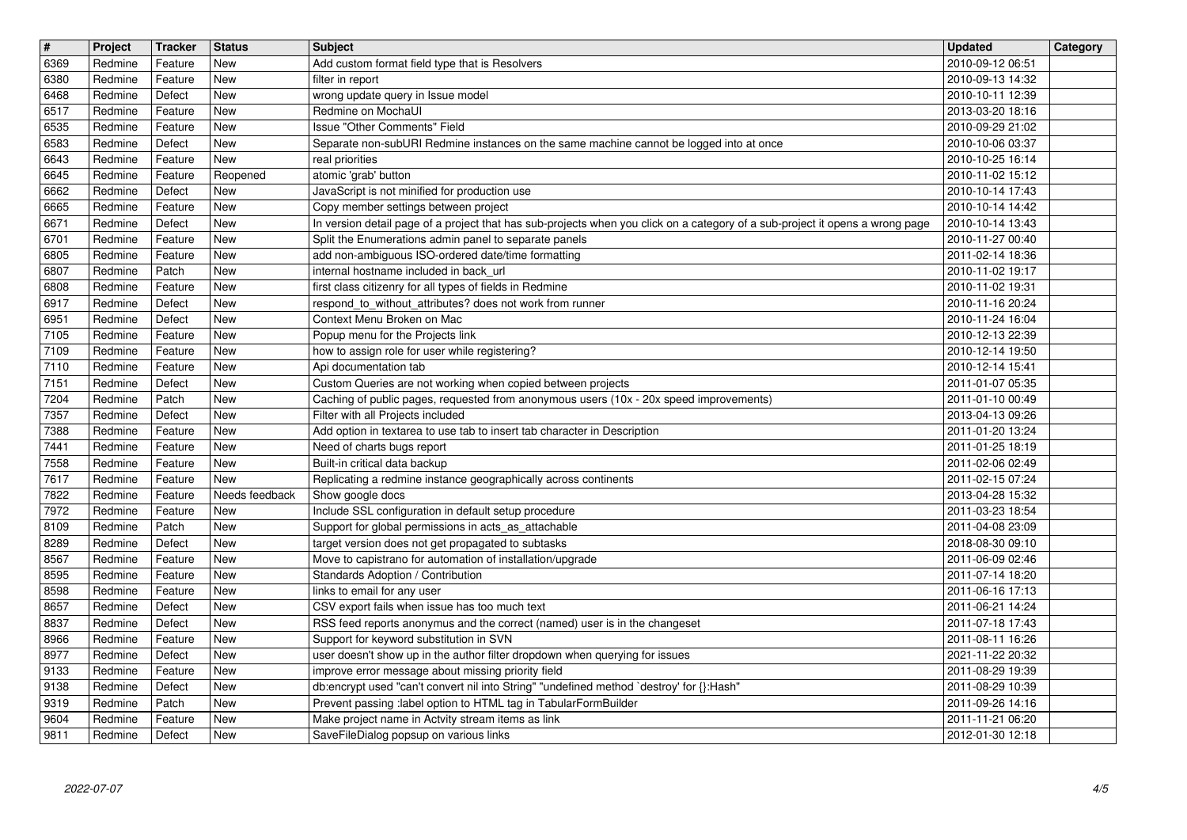| $\overline{\mathbf{t}}$   | Project            | Tracker            | <b>Status</b>            | <b>Subject</b>                                                                                                                                                                         | <b>Updated</b>                       | Category |
|---------------------------|--------------------|--------------------|--------------------------|----------------------------------------------------------------------------------------------------------------------------------------------------------------------------------------|--------------------------------------|----------|
| 6369<br>6380              | Redmine<br>Redmine | Feature<br>Feature | New<br><b>New</b>        | Add custom format field type that is Resolvers<br>filter in report                                                                                                                     | 2010-09-12 06:51<br>2010-09-13 14:32 |          |
| 6468                      | Redmine            | Defect             | <b>New</b>               | wrong update query in Issue model                                                                                                                                                      | 2010-10-11 12:39                     |          |
| 6517                      | Redmine            | Feature            | <b>New</b><br><b>New</b> | Redmine on MochaUI<br>Issue "Other Comments" Field                                                                                                                                     | 2013-03-20 18:16                     |          |
| 6535<br>6583              | Redmine<br>Redmine | Feature<br>Defect  | <b>New</b>               | Separate non-subURI Redmine instances on the same machine cannot be logged into at once                                                                                                | 2010-09-29 21:02<br>2010-10-06 03:37 |          |
| 6643                      | Redmine            | Feature            | New                      | real priorities                                                                                                                                                                        | 2010-10-25 16:14                     |          |
| 6645<br>6662              | Redmine<br>Redmine | Feature<br>Defect  | Reopened<br><b>New</b>   | atomic 'grab' button<br>JavaScript is not minified for production use                                                                                                                  | 2010-11-02 15:12<br>2010-10-14 17:43 |          |
| 6665                      | Redmine            | Feature            | <b>New</b>               | Copy member settings between project                                                                                                                                                   | 2010-10-14 14:42                     |          |
| 6671<br>6701              | Redmine<br>Redmine | Defect<br>Feature  | <b>New</b><br><b>New</b> | In version detail page of a project that has sub-projects when you click on a category of a sub-project it opens a wrong page<br>Split the Enumerations admin panel to separate panels | 2010-10-14 13:43<br>2010-11-27 00:40 |          |
| 6805                      | Redmine            | Feature            | <b>New</b>               | add non-ambiguous ISO-ordered date/time formatting                                                                                                                                     | 2011-02-14 18:36                     |          |
| 6807<br>6808              | Redmine<br>Redmine | Patch<br>Feature   | <b>New</b><br><b>New</b> | internal hostname included in back_url<br>first class citizenry for all types of fields in Redmine                                                                                     | 2010-11-02 19:17<br>2010-11-02 19:31 |          |
| 6917                      | Redmine            | Defect             | New                      | respond_to_without_attributes? does not work from runner                                                                                                                               | 2010-11-16 20:24                     |          |
| 6951<br>7105              | Redmine<br>Redmine | Defect<br>Feature  | New<br><b>New</b>        | Context Menu Broken on Mac<br>Popup menu for the Projects link                                                                                                                         | 2010-11-24 16:04<br>2010-12-13 22:39 |          |
| 7109                      | Redmine            | Feature            | <b>New</b>               | how to assign role for user while registering?                                                                                                                                         | 2010-12-14 19:50                     |          |
| 7110<br>$\overline{7151}$ | Redmine<br>Redmine | Feature<br>Defect  | <b>New</b><br><b>New</b> | Api documentation tab<br>Custom Queries are not working when copied between projects                                                                                                   | 2010-12-14 15:41<br>2011-01-07 05:35 |          |
| 7204                      | Redmine            | Patch              | <b>New</b>               | Caching of public pages, requested from anonymous users (10x - 20x speed improvements)                                                                                                 | 2011-01-10 00:49                     |          |
| 7357                      | Redmine            | Defect             | <b>New</b>               | Filter with all Projects included                                                                                                                                                      | 2013-04-13 09:26                     |          |
| 7388<br>7441              | Redmine<br>Redmine | Feature<br>Feature | <b>New</b><br>New        | Add option in textarea to use tab to insert tab character in Description<br>Need of charts bugs report                                                                                 | 2011-01-20 13:24<br>2011-01-25 18:19 |          |
| 7558                      | Redmine            | Feature            | <b>New</b>               | Built-in critical data backup                                                                                                                                                          | 2011-02-06 02:49                     |          |
| 7617<br>7822              | Redmine<br>Redmine | Feature<br>Feature | New<br>Needs feedback    | Replicating a redmine instance geographically across continents<br>Show google docs                                                                                                    | 2011-02-15 07:24<br>2013-04-28 15:32 |          |
| 7972                      | Redmine            | Feature            | <b>New</b>               | Include SSL configuration in default setup procedure                                                                                                                                   | 2011-03-23 18:54                     |          |
| 8109<br>8289              | Redmine<br>Redmine | Patch<br>Defect    | New<br><b>New</b>        | Support for global permissions in acts_as_attachable<br>target version does not get propagated to subtasks                                                                             | 2011-04-08 23:09<br>2018-08-30 09:10 |          |
| 8567                      | Redmine            | Feature            | <b>New</b>               | Move to capistrano for automation of installation/upgrade                                                                                                                              | 2011-06-09 02:46                     |          |
| 8595<br>8598              | Redmine<br>Redmine | Feature<br>Feature | New<br><b>New</b>        | Standards Adoption / Contribution<br>links to email for any user                                                                                                                       | 2011-07-14 18:20<br>2011-06-16 17:13 |          |
| 8657                      | Redmine            | Defect             | <b>New</b>               | CSV export fails when issue has too much text                                                                                                                                          | 2011-06-21 14:24                     |          |
| 8837                      | Redmine            | Defect             | <b>New</b><br>New        | RSS feed reports anonymus and the correct (named) user is in the changeset                                                                                                             | 2011-07-18 17:43                     |          |
| 8966<br>8977              | Redmine<br>Redmine | Feature<br>Defect  | New                      | Support for keyword substitution in SVN<br>user doesn't show up in the author filter dropdown when querying for issues                                                                 | 2011-08-11 16:26<br>2021-11-22 20:32 |          |
| 9133                      | Redmine            | Feature            | New                      | improve error message about missing priority field                                                                                                                                     | 2011-08-29 19:39                     |          |
| 9138<br>9319              | Redmine<br>Redmine | Defect<br>Patch    | <b>New</b><br>New        | db:encrypt used "can't convert nil into String" "undefined method `destroy' for {}:Hash"<br>Prevent passing :label option to HTML tag in TabularFormBuilder                            | 2011-08-29 10:39<br>2011-09-26 14:16 |          |
| 9604<br>9811              | Redmine<br>Redmine | Feature<br>Defect  | New<br>New               | Make project name in Actvity stream items as link<br>SaveFileDialog popsup on various links                                                                                            | 2011-11-21 06:20<br>2012-01-30 12:18 |          |
|                           |                    |                    |                          |                                                                                                                                                                                        |                                      |          |
|                           |                    |                    |                          |                                                                                                                                                                                        |                                      |          |
|                           |                    |                    |                          |                                                                                                                                                                                        |                                      |          |
|                           |                    |                    |                          |                                                                                                                                                                                        |                                      |          |
|                           |                    |                    |                          |                                                                                                                                                                                        |                                      |          |
|                           |                    |                    |                          |                                                                                                                                                                                        |                                      |          |
|                           |                    |                    |                          |                                                                                                                                                                                        |                                      |          |
|                           |                    |                    |                          |                                                                                                                                                                                        |                                      |          |
|                           |                    |                    |                          |                                                                                                                                                                                        |                                      |          |
|                           |                    |                    |                          |                                                                                                                                                                                        |                                      |          |
|                           |                    |                    |                          |                                                                                                                                                                                        |                                      |          |
|                           |                    |                    |                          |                                                                                                                                                                                        |                                      |          |
|                           |                    |                    |                          |                                                                                                                                                                                        |                                      |          |
|                           |                    |                    |                          |                                                                                                                                                                                        |                                      |          |
|                           |                    |                    |                          |                                                                                                                                                                                        |                                      |          |
|                           |                    |                    |                          |                                                                                                                                                                                        |                                      |          |
|                           |                    |                    |                          |                                                                                                                                                                                        |                                      |          |